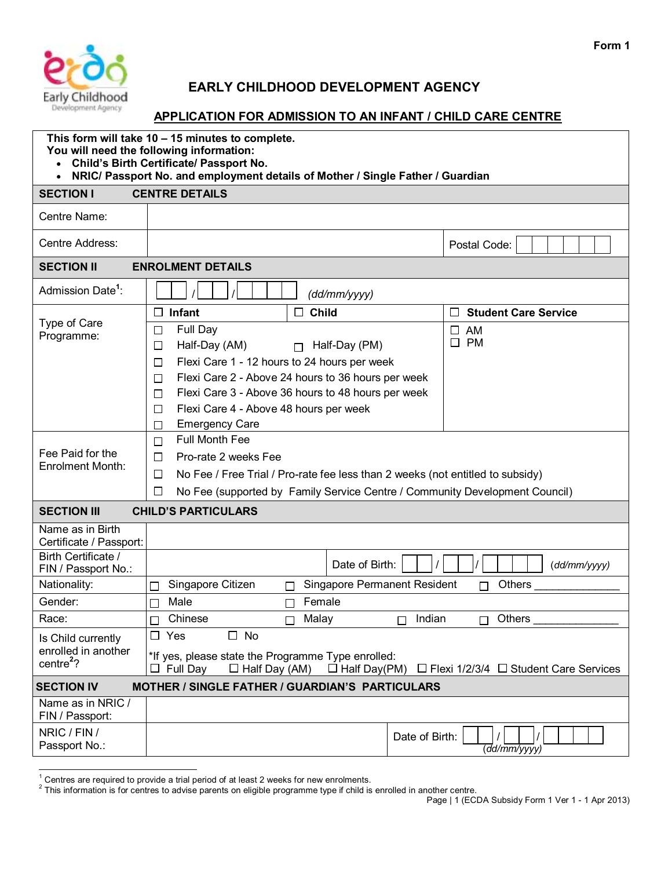

## **EARLY CHILDHOOD DEVELOPMENT AGENCY**

## Early Childhood<br> **APPLICATION FOR ADMISSION TO AN INFANT / CHILD CARE CENTRE**

|                                                                      | This form will take 10 - 15 minutes to complete.<br>You will need the following information:<br><b>Child's Birth Certificate/ Passport No.</b><br>NRIC/ Passport No. and employment details of Mother / Single Father / Guardian                                                                                                                                                  |                             |  |  |  |  |
|----------------------------------------------------------------------|-----------------------------------------------------------------------------------------------------------------------------------------------------------------------------------------------------------------------------------------------------------------------------------------------------------------------------------------------------------------------------------|-----------------------------|--|--|--|--|
| <b>SECTION I</b>                                                     | <b>CENTRE DETAILS</b>                                                                                                                                                                                                                                                                                                                                                             |                             |  |  |  |  |
| Centre Name:                                                         |                                                                                                                                                                                                                                                                                                                                                                                   |                             |  |  |  |  |
| Centre Address:                                                      |                                                                                                                                                                                                                                                                                                                                                                                   | Postal Code:                |  |  |  |  |
| <b>SECTION II</b>                                                    | <b>ENROLMENT DETAILS</b>                                                                                                                                                                                                                                                                                                                                                          |                             |  |  |  |  |
| Admission Date <sup>1</sup> :                                        | (d d/mm/ y y y)                                                                                                                                                                                                                                                                                                                                                                   |                             |  |  |  |  |
|                                                                      | Infant<br>П<br><b>Child</b><br>⊔<br>$\Box$                                                                                                                                                                                                                                                                                                                                        | <b>Student Care Service</b> |  |  |  |  |
| Type of Care<br>Programme:                                           | Full Day<br>$\square$ AM<br>$\Box$<br><b>PM</b><br>$\Box$<br>Half-Day (AM)<br>Half-Day (PM)<br>$\Box$<br>П<br>Flexi Care 1 - 12 hours to 24 hours per week<br>$\Box$<br>Flexi Care 2 - Above 24 hours to 36 hours per week<br>П<br>Flexi Care 3 - Above 36 hours to 48 hours per week<br>П<br>Flexi Care 4 - Above 48 hours per week<br>$\Box$<br><b>Emergency Care</b><br>$\Box$ |                             |  |  |  |  |
| Fee Paid for the<br><b>Enrolment Month:</b>                          | <b>Full Month Fee</b><br>П<br>Pro-rate 2 weeks Fee<br>$\Box$<br>$\Box$<br>No Fee / Free Trial / Pro-rate fee less than 2 weeks (not entitled to subsidy)<br>No Fee (supported by Family Service Centre / Community Development Council)<br>$\Box$                                                                                                                                 |                             |  |  |  |  |
| <b>SECTION III</b>                                                   | <b>CHILD'S PARTICULARS</b>                                                                                                                                                                                                                                                                                                                                                        |                             |  |  |  |  |
| Name as in Birth<br>Certificate / Passport:                          |                                                                                                                                                                                                                                                                                                                                                                                   |                             |  |  |  |  |
| Birth Certificate /<br>FIN / Passport No.:                           | Date of Birth:                                                                                                                                                                                                                                                                                                                                                                    | (dd/mm/yyyy)                |  |  |  |  |
| Nationality:                                                         | <b>Singapore Permanent Resident</b><br>Singapore Citizen<br>П<br>П                                                                                                                                                                                                                                                                                                                | Others<br>П                 |  |  |  |  |
| Gender:                                                              | Male<br>Female                                                                                                                                                                                                                                                                                                                                                                    |                             |  |  |  |  |
| Race:                                                                | Chinese<br>Malay<br>Indian<br>П<br>l 1                                                                                                                                                                                                                                                                                                                                            | Others<br>П                 |  |  |  |  |
| Is Child currently<br>enrolled in another<br>centre $2$ ?            | $\Box$ Yes<br>$\Box$ No<br>*If yes, please state the Programme Type enrolled:<br>$\Box$ Full Day<br>$\Box$ Half Day(PM) $\Box$ Flexi 1/2/3/4 $\Box$ Student Care Services<br>$\Box$ Half Day (AM)                                                                                                                                                                                 |                             |  |  |  |  |
| MOTHER / SINGLE FATHER / GUARDIAN'S PARTICULARS<br><b>SECTION IV</b> |                                                                                                                                                                                                                                                                                                                                                                                   |                             |  |  |  |  |
| Name as in NRIC /<br>FIN / Passport:                                 |                                                                                                                                                                                                                                                                                                                                                                                   |                             |  |  |  |  |
| NRIC / FIN /<br>Passport No.:                                        | Date of Birth:                                                                                                                                                                                                                                                                                                                                                                    | (dd/mm/yyyy)                |  |  |  |  |

l

<sup>&</sup>lt;sup>1</sup> Centres are required to provide a trial period of at least 2 weeks for new enrolments.<br><sup>2</sup> This information is for centres to advise parents on eligible programme type if child is enrolled in another centre.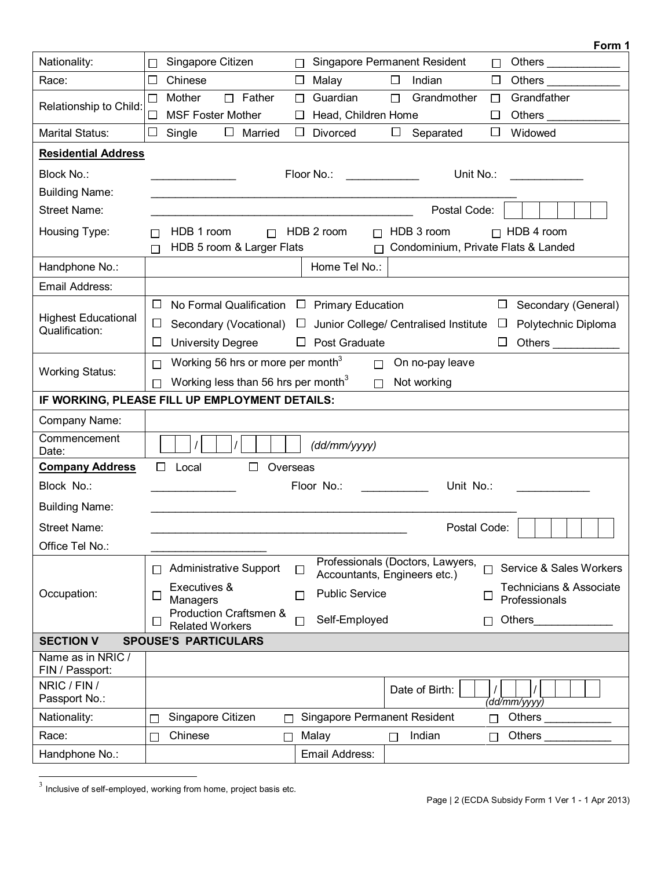|                                              | Form 1                                                                                                                                                                                                                                      |  |  |  |  |  |
|----------------------------------------------|---------------------------------------------------------------------------------------------------------------------------------------------------------------------------------------------------------------------------------------------|--|--|--|--|--|
| Nationality:                                 | Singapore Citizen<br>Singapore Permanent Resident<br>Others _____________<br>$\Box$<br>□<br>$\Box$                                                                                                                                          |  |  |  |  |  |
| Race:                                        | □<br>Chinese<br>Malay<br>$\Box$<br>Others _<br>Indian<br>$\Box$<br>$\Box$                                                                                                                                                                   |  |  |  |  |  |
| Relationship to Child:                       | $\Box$ Father<br>Guardian<br>Grandfather<br>Mother<br>Grandmother<br>$\Box$<br>$\Box$<br>$\Box$<br>□                                                                                                                                        |  |  |  |  |  |
|                                              | □<br><b>MSF Foster Mother</b><br>Head, Children Home<br>□<br>ப                                                                                                                                                                              |  |  |  |  |  |
| <b>Marital Status:</b>                       | Separated<br>$\Box$ Married<br>Divorced<br>$\Box$<br>□<br>Widowed<br>□<br>Single<br>□                                                                                                                                                       |  |  |  |  |  |
| <b>Residential Address</b>                   |                                                                                                                                                                                                                                             |  |  |  |  |  |
| Block No.:                                   | Floor No.:<br>Unit No.:                                                                                                                                                                                                                     |  |  |  |  |  |
| <b>Building Name:</b>                        |                                                                                                                                                                                                                                             |  |  |  |  |  |
| <b>Street Name:</b>                          | Postal Code:                                                                                                                                                                                                                                |  |  |  |  |  |
| Housing Type:                                | $\Box$ HDB 2 room<br>$\Box$ HDB 4 room<br>HDB 1 room<br>HDB 3 room<br>$\Box$<br>П                                                                                                                                                           |  |  |  |  |  |
|                                              | HDB 5 room & Larger Flats<br>Condominium, Private Flats & Landed<br>$\Box$<br>П                                                                                                                                                             |  |  |  |  |  |
| Handphone No.:                               | Home Tel No.:                                                                                                                                                                                                                               |  |  |  |  |  |
| Email Address:                               |                                                                                                                                                                                                                                             |  |  |  |  |  |
|                                              | $\Box$<br>$\Box$<br>No Formal Qualification<br>$\Box$ Primary Education<br>Secondary (General)                                                                                                                                              |  |  |  |  |  |
| <b>Highest Educational</b><br>Qualification: | Secondary (Vocational)<br>ப<br>Junior College/ Centralised Institute<br>Polytechnic Diploma<br>$\Box$<br>ப                                                                                                                                  |  |  |  |  |  |
|                                              | <b>University Degree</b><br>$\Box$ Post Graduate<br>ப<br>ப<br>Others _____________                                                                                                                                                          |  |  |  |  |  |
|                                              | Working 56 hrs or more per month <sup>3</sup><br>On no-pay leave<br>$\Box$<br>П                                                                                                                                                             |  |  |  |  |  |
| <b>Working Status:</b>                       | Working less than 56 hrs per month <sup>3</sup><br>Not working<br>$\Box$<br>П                                                                                                                                                               |  |  |  |  |  |
|                                              | IF WORKING, PLEASE FILL UP EMPLOYMENT DETAILS:                                                                                                                                                                                              |  |  |  |  |  |
| Company Name:                                |                                                                                                                                                                                                                                             |  |  |  |  |  |
| Commencement<br>Date:                        | (dd/mm/yyy)                                                                                                                                                                                                                                 |  |  |  |  |  |
| <b>Company Address</b>                       | $\Box$<br>Local<br>П<br>Overseas                                                                                                                                                                                                            |  |  |  |  |  |
| Block No.:                                   | Floor No.: The contract of the contract of the contract of the contract of the contract of the contract of the contract of the contract of the contract of the contract of the contract of the contract of the contract of the<br>Unit No.: |  |  |  |  |  |
| <b>Building Name:</b>                        |                                                                                                                                                                                                                                             |  |  |  |  |  |
| <b>Street Name:</b>                          | Postal Code:                                                                                                                                                                                                                                |  |  |  |  |  |
| Office Tel No.:                              |                                                                                                                                                                                                                                             |  |  |  |  |  |
| Occupation:                                  | Professionals (Doctors, Lawyers,<br>Administrative Support<br>Service & Sales Workers<br>П<br>⊔                                                                                                                                             |  |  |  |  |  |
|                                              | Accountants, Engineers etc.)<br>Technicians & Associate<br>Executives &                                                                                                                                                                     |  |  |  |  |  |
|                                              | <b>Public Service</b><br>П<br>ப<br>⊔<br>Professionals<br>Managers                                                                                                                                                                           |  |  |  |  |  |
|                                              | Production Craftsmen &<br>Self-Employed<br>∟<br><b>Related Workers</b>                                                                                                                                                                      |  |  |  |  |  |
| <b>SECTION V</b>                             | <b>SPOUSE'S PARTICULARS</b>                                                                                                                                                                                                                 |  |  |  |  |  |
| Name as in NRIC /                            |                                                                                                                                                                                                                                             |  |  |  |  |  |
| FIN / Passport:                              |                                                                                                                                                                                                                                             |  |  |  |  |  |
| NRIC / FIN /<br>Passport No.:                | Date of Birth:<br>(dd/mm/yyyy)                                                                                                                                                                                                              |  |  |  |  |  |
| Nationality:                                 | Singapore Citizen<br><b>Singapore Permanent Resident</b><br>Others $\_\_$                                                                                                                                                                   |  |  |  |  |  |
| Race:                                        | Indian<br>Chinese<br>Malay<br>Others<br>П<br>П                                                                                                                                                                                              |  |  |  |  |  |
| Handphone No.:                               | Email Address:                                                                                                                                                                                                                              |  |  |  |  |  |

 $\frac{3}{3}$  Inclusive of self-employed, working from home, project basis etc.